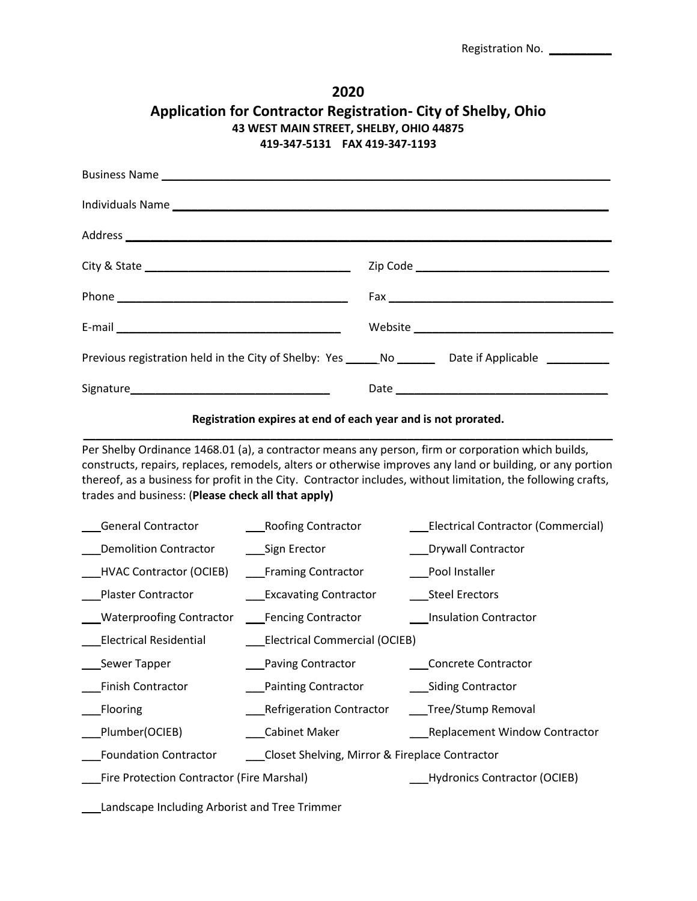| 2020<br><b>Application for Contractor Registration- City of Shelby, Ohio</b><br>43 WEST MAIN STREET, SHELBY, OHIO 44875<br>419-347-5131    FAX 419-347-1193                                                                                                                                                                                                                             |                                                                                    |  |                       |                                           |  |  |
|-----------------------------------------------------------------------------------------------------------------------------------------------------------------------------------------------------------------------------------------------------------------------------------------------------------------------------------------------------------------------------------------|------------------------------------------------------------------------------------|--|-----------------------|-------------------------------------------|--|--|
|                                                                                                                                                                                                                                                                                                                                                                                         |                                                                                    |  |                       |                                           |  |  |
|                                                                                                                                                                                                                                                                                                                                                                                         |                                                                                    |  |                       |                                           |  |  |
|                                                                                                                                                                                                                                                                                                                                                                                         |                                                                                    |  |                       |                                           |  |  |
|                                                                                                                                                                                                                                                                                                                                                                                         |                                                                                    |  |                       |                                           |  |  |
|                                                                                                                                                                                                                                                                                                                                                                                         |                                                                                    |  |                       |                                           |  |  |
|                                                                                                                                                                                                                                                                                                                                                                                         |                                                                                    |  |                       |                                           |  |  |
| Previous registration held in the City of Shelby: Yes ______No ________ Date if Applicable ________                                                                                                                                                                                                                                                                                     |                                                                                    |  |                       |                                           |  |  |
|                                                                                                                                                                                                                                                                                                                                                                                         |                                                                                    |  |                       |                                           |  |  |
|                                                                                                                                                                                                                                                                                                                                                                                         | Registration expires at end of each year and is not prorated.                      |  |                       |                                           |  |  |
| Per Shelby Ordinance 1468.01 (a), a contractor means any person, firm or corporation which builds,<br>constructs, repairs, replaces, remodels, alters or otherwise improves any land or building, or any portion<br>thereof, as a business for profit in the City. Contractor includes, without limitation, the following crafts,<br>trades and business: (Please check all that apply) |                                                                                    |  |                       |                                           |  |  |
| <b>General Contractor</b>                                                                                                                                                                                                                                                                                                                                                               | ____Roofing Contractor                                                             |  |                       | <b>Electrical Contractor (Commercial)</b> |  |  |
| <b>Demolition Contractor</b>                                                                                                                                                                                                                                                                                                                                                            | ____Sign Erector                                                                   |  | ___Drywall Contractor |                                           |  |  |
| HVAC Contractor (OCIEB) [Framing Contractor                                                                                                                                                                                                                                                                                                                                             |                                                                                    |  |                       | Pool Installer                            |  |  |
|                                                                                                                                                                                                                                                                                                                                                                                         | _Plaster Contractor ________________Excavating Contractor __________Steel Erectors |  |                       |                                           |  |  |
| <b>Waterproofing Contractor</b>                                                                                                                                                                                                                                                                                                                                                         | Fencing Contractor                                                                 |  |                       | ___Insulation Contractor                  |  |  |
| <b>Electrical Residential</b>                                                                                                                                                                                                                                                                                                                                                           | <b>Electrical Commercial (OCIEB)</b>                                               |  |                       |                                           |  |  |
| Sewer Tapper                                                                                                                                                                                                                                                                                                                                                                            | Paving Contractor                                                                  |  |                       | Concrete Contractor                       |  |  |
| Finish Contractor                                                                                                                                                                                                                                                                                                                                                                       | Painting Contractor                                                                |  |                       | ____ Siding Contractor                    |  |  |
| Flooring                                                                                                                                                                                                                                                                                                                                                                                | <b>Refrigeration Contractor</b>                                                    |  |                       | __Tree/Stump Removal                      |  |  |
| Plumber(OCIEB)                                                                                                                                                                                                                                                                                                                                                                          | Cabinet Maker                                                                      |  |                       | Replacement Window Contractor             |  |  |
| <b>Foundation Contractor</b><br>Closet Shelving, Mirror & Fireplace Contractor                                                                                                                                                                                                                                                                                                          |                                                                                    |  |                       |                                           |  |  |
| <b>Fire Protection Contractor (Fire Marshal)</b>                                                                                                                                                                                                                                                                                                                                        |                                                                                    |  |                       | Hydronics Contractor (OCIEB)              |  |  |

\_\_\_Landscape Including Arborist and Tree Trimmer